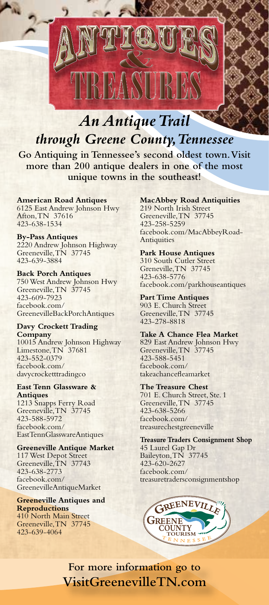

*An Antique Trail through Greene County, Tennessee*

**Go Antiquing in Tennessee's second oldest town. Visit more than 200 antique dealers in one of the most unique towns in the southeast!**

**American Road Antiques** 6125 East Andrew Johnson Hwy Afton, TN 37616 423-638-1534

**By-Pass Antiques** 2220 Andrew Johnson Highway Greeneville, TN 37745 423-639-3884

**Back Porch Antiques** 750 West Andrew Johnson Hwy Greeneville, TN 37745 423-609-7923 facebook.com/ GreenevilleBackPorchAntiques

**Davy Crockett Trading Company** 10015 Andrew Johnson Highway Limestone, TN 37681 423-552-0379 facebook.com/ davycrocketttradingco

**East Tenn Glassware & Antiques** 1213 Snapps Ferry Road

Greeneville, TN 37745 423-588-5972 facebook.com/ EastTennGlasswareAntiques

**Greeneville Antique Market**

117 West Depot Street Greeneville, TN 37743 423-638-2773 facebook.com/ GreenevilleAntiqueMarket

**Greeneville Antiques and Reproductions** 410 North Main Street Greeneville, TN 37745

423-639-4064

## **MacAbbey Road Antiquities**

219 North Irish Street Greeneville, TN 37745 423-258-5259 facebook.com/MacAbbeyRoad-**Antiquities** 

## **Park House Antiques**

310 South Cutler Street Greneville, TN 37745 423-638-5776 facebook.com/parkhouseantiques

**Part Time Antiques** 903 E. Church Street

Greeneville, TN 37745 423-278-8818

**Take A Chance Flea Market** 829 East Andrew Johnson Hwy Greeneville, TN 37745 423-588-5451 facebook.com/ takeachancefleamarket

**The Treasure Chest** 701 E. Church Street, Ste. 1 Greeneville, TN 37745 423-638-5266 facebook.com/ treasurechestgreeneville

**Treasure Traders Consignment Shop** 45 Laurel Gap Dr Baileyton, TN 37745 423-620-2627 facebook.com/ treasuretradersconsignmentshop



**For more information go to VisitGreenevilleTN.com**